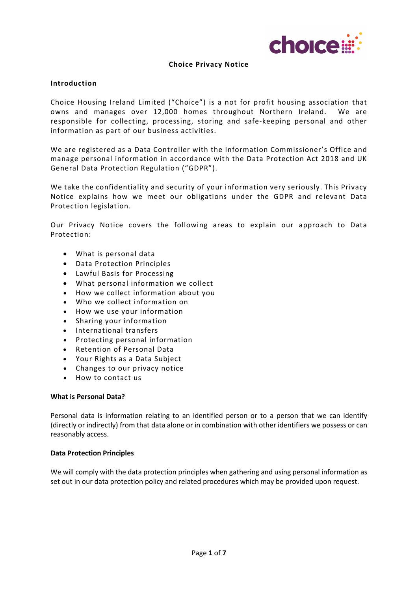

## **Choice Privacy Notice**

## **Introduction**

Choice Housing Ireland Limited ("Choice") is a not for profit housing association that owns and manages over 12,000 homes throughout Northern Ireland. We are responsible for collecting, processing, storing and safe-keeping personal and other information as part of our business activities.

We are registered as a Data Controller with the Information Commissioner's Office and manage personal information in accordance with the Data Protection Act 2018 and UK General Data Protection Regulation ("GDPR").

We take the confidentiality and security of your information very seriously. This Privacy Notice explains how we meet our obligations under the GDPR and relevant Data Protection legislation.

Our Privacy Notice covers the following areas to explain our approach to Data Protection:

- What is personal data
- Data Protection Principles
- Lawful Basis for Processing
- What personal information we collect
- How we collect information about you
- Who we collect information on
- How we use your information
- Sharing your information
- International transfers
- Protecting personal information
- Retention of Personal Data
- Your Rights as a Data Subject
- [Changes to our privacy notice](http://www.clanmil.org/privacy.php#changes)
- How to contact us

## **What is Personal Data?**

Personal data is information relating to an identified person or to a person that we can identify (directly or indirectly) from that data alone or in combination with other identifiers we possess or can reasonably access.

## **Data Protection Principles**

We will comply with the data protection principles when gathering and using personal information as set out in our data protection policy and related procedures which may be provided upon request.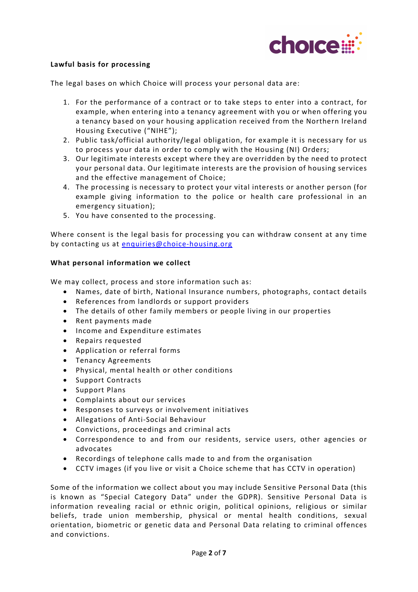

# **Lawful basis for processing**

The legal bases on which Choice will process your personal data are:

- 1. For the performance of a contract or to take steps to enter into a contract, for example, when entering into a tenancy agreement with you or when offering you a tenancy based on your housing application received from the Northern Ireland Housing Executive ("NIHE");
- 2. Public task/official authority/legal obligation, for example it is necessary for us to process your data in order to comply with the Housing (NI) Orders;
- 3. Our legitimate interests except where they are overridden by the need to protect your personal data. Our legitimate interests are the provision of housing services and the effective management of Choice;
- 4. The processing is necessary to protect your vital interests or another person (for example giving information to the police or health care professional in an emergency situation);
- 5. You have consented to the processing.

Where consent is the legal basis for processing you can withdraw consent at any time by contacting us at [enquiries@choice-housing.org](mailto:enquiries@choice-housing.org)

## **What personal information we collect**

We may collect, process and store information such as:

- Names, date of birth, National Insurance numbers, photographs, contact details
- References from landlords or support providers
- The details of other family members or people living in our properties
- Rent payments made
- Income and Expenditure estimates
- Repairs requested
- Application or referral forms
- Tenancy Agreements
- Physical, mental health or other conditions
- Support Contracts
- Support Plans
- Complaints about our services
- Responses to surveys or involvement initiatives
- Allegations of Anti-Social Behaviour
- Convictions, proceedings and criminal acts
- Correspondence to and from our residents, service users, other agencies or advocates
- Recordings of telephone calls made to and from the organisation
- CCTV images (if you live or visit a Choice scheme that has CCTV in operation)

Some of the information we collect about you may include Sensitive Personal Data (this is known as "Special Category Data" under the GDPR). Sensitive Personal Data is information revealing racial or ethnic origin, political opinions, religious or similar beliefs, trade union membership, physical or mental health conditions, sexual orientation, biometric or genetic data and Personal Data relating to criminal offences and convictions.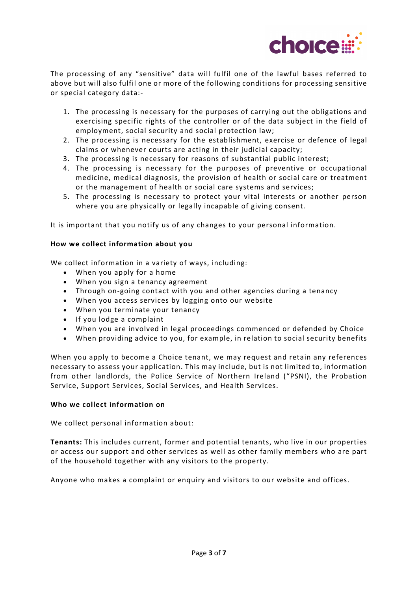

The processing of any "sensitive" data will fulfil one of the lawful bases referred to above but will also fulfil one or more of the following conditions for processing sensitive or special category data:-

- 1. The processing is necessary for the purposes of carrying out the obligations and exercising specific rights of the controller or of the data subject in the field of employment, social security and social protection law;
- 2. The processing is necessary for the establishment, exercise or defence of legal claims or whenever courts are acting in their judicial capacity;
- 3. The processing is necessary for reasons of substantial public interest;
- 4. The processing is necessary for the purposes of preventive or occupational medicine, medical diagnosis, the provision of health or social care or treatment or the management of health or social care systems and services;
- 5. The processing is necessary to protect your vital interests or another person where you are physically or legally incapable of giving consent.

It is important that you notify us of any changes to your personal information.

# **How we collect information about you**

We collect information in a variety of ways, including:

- When you apply for a home
- When you sign a tenancy agreement
- Through on-going contact with you and other agencies during a tenancy
- When you access services by logging onto our website
- When you terminate your tenancy
- If you lodge a complaint
- When you are involved in legal proceedings commenced or defended by Choice
- When providing advice to you, for example, in relation to social security benefits

When you apply to become a Choice tenant, we may request and retain any references necessary to assess your application. This may include, but is not limited to, information from other landlords, the Police Service of Northern Ireland ("PSNI), the Probation Service, Support Services, Social Services, and Health Services.

## **Who we collect information on**

We collect personal information about:

**Tenants:** This includes current, former and potential tenants, who live in our properties or access our support and other services as well as other family members who are part of the household together with any visitors to the property.

Anyone who makes a complaint or enquiry and visitors to our website and offices.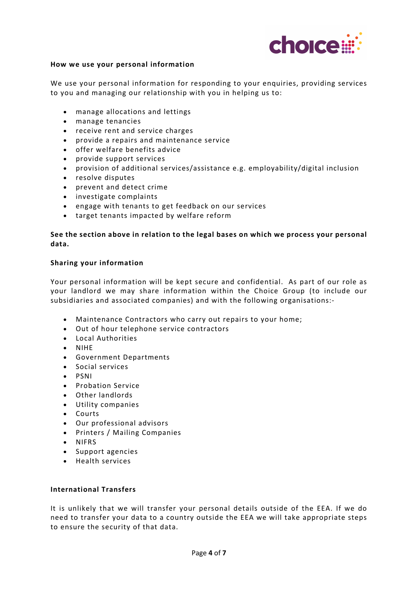

## **How we use your personal information**

We use your personal information for responding to your enquiries, providing services to you and managing our relationship with you in helping us to:

- manage allocations and lettings
- manage tenancies
- receive rent and service charges
- provide a repairs and maintenance service
- offer welfare benefits advice
- provide support services
- provision of additional services/assistance e.g. employability/digital inclusion
- resolve disputes
- prevent and detect crime
- investigate complaints
- engage with tenants to get feedback on our services
- target tenants impacted by welfare reform

# **See the section above in relation to the legal bases on which we process your personal data.**

## **Sharing your information**

Your personal information will be kept secure and confidential. As part of our role as your landlord we may share information within the Choice Group (to include our subsidiaries and associated companies) and with the following organisations:-

- Maintenance Contractors who carry out repairs to your home;
- Out of hour telephone service contractors
- Local Authorities
- NIHE
- Government Departments
- Social services
- PSNI
- Probation Service
- Other landlords
- Utility companies
- Courts
- Our professional advisors
- Printers / Mailing Companies
- NIFRS
- Support agencies
- Health services

## **International Transfers**

It is unlikely that we will transfer your personal details outside of the EEA. If we do need to transfer your data to a country outside the EEA we will take appropriate steps to ensure the security of that data.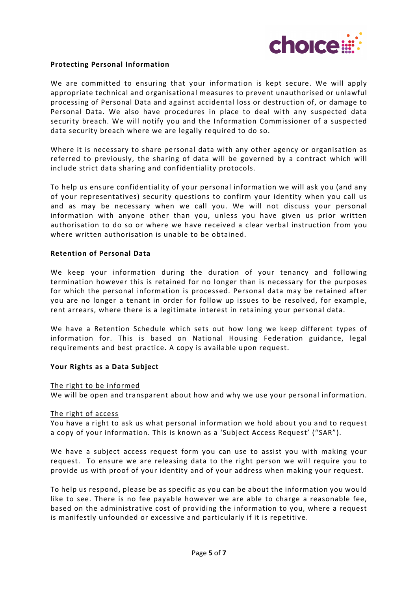

## **Protecting Personal Information**

We are committed to ensuring that your information is kept secure. We will apply appropriate technical and organisational measures to prevent unauthorised or unlawful processing of Personal Data and against accidental loss or destruction of, or damage to Personal Data. We also have procedures in place to deal with any suspected data security breach. We will notify you and the Information Commissioner of a suspected data security breach where we are legally required to do so.

Where it is necessary to share personal data with any other agency or organisation as referred to previously, the sharing of data will be governed by a contract which will include strict data sharing and confidentiality protocols.

To help us ensure confidentiality of your personal information we will ask you (and any of your representatives) security questions to confirm your identity when you call us and as may be necessary when we call you. We will not discuss your personal information with anyone other than you, unless you have given us prior written authorisation to do so or where we have received a clear verbal instruction from you where written authorisation is unable to be obtained.

### **Retention of Personal Data**

We keep your information during the duration of your tenancy and following termination however this is retained for no longer than is necessary for the purposes for which the personal information is processed. Personal data may be retained after you are no longer a tenant in order for follow up issues to be resolved, for example, rent arrears, where there is a legitimate interest in retaining your personal data.

We have a Retention Schedule which sets out how long we keep different types of information for. This is based on National Housing Federation guidance, legal requirements and best practice. A copy is available upon request.

### **Your Rights as a Data Subject**

#### The right to be informed

We will be open and transparent about how and why we use your personal information.

#### The right of access

You have a right to ask us what personal information we hold about you and to request a copy of your information. This is known as a 'Subject Access Request' ("SAR").

We have a subject access request form you can use to assist you with making your request. To ensure we are releasing data to the right person we will require you to provide us with proof of your identity and of your address when making your request.

To help us respond, please be as specific as you can be about the information you would like to see. There is no fee payable however we are able to charge a reasonable fee, based on the administrative cost of providing the information to you, where a request is manifestly unfounded or excessive and particularly if it is repetitive.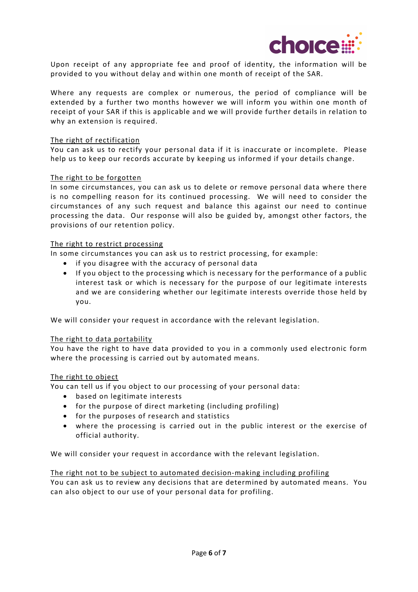

Upon receipt of any appropriate fee and proof of identity, the information will be provided to you without delay and within one month of receipt of the SAR.

Where any requests are complex or numerous, the period of compliance will be extended by a further two months however we will inform you within one month of receipt of your SAR if this is applicable and we will provide further details in relation to why an extension is required.

### The right of rectification

You can ask us to rectify your personal data if it is inaccurate or incomplete. Please help us to keep our records accurate by keeping us informed if your details change.

### The right to be forgotten

In some circumstances, you can ask us to delete or remove personal data where there is no compelling reason for its continued processing. We will need to consider the circumstances of any such request and balance this against our need to continue processing the data. Our response will also be guided by, amongst other factors, the provisions of our retention policy.

### The right to restrict processing

In some circumstances you can ask us to restrict processing, for example:

- if you disagree with the accuracy of personal data
- If you object to the processing which is necessary for the performance of a public interest task or which is necessary for the purpose of our legitimate interests and we are considering whether our legitimate interests override those held by you.

We will consider your request in accordance with the relevant legislation.

#### The right to data portability

You have the right to have data provided to you in a commonly used electronic form where the processing is carried out by automated means.

#### The right to object

You can tell us if you object to our processing of your personal data:

- based on legitimate interests
- for the purpose of direct marketing (including profiling)
- for the purposes of research and statistics
- where the processing is carried out in the public interest or the exercise of official authority.

We will consider your request in accordance with the relevant legislation.

## The right not to be subject to automated decision-making including profiling

You can ask us to review any decisions that are determined by automated means. You can also object to our use of your personal data for profiling.